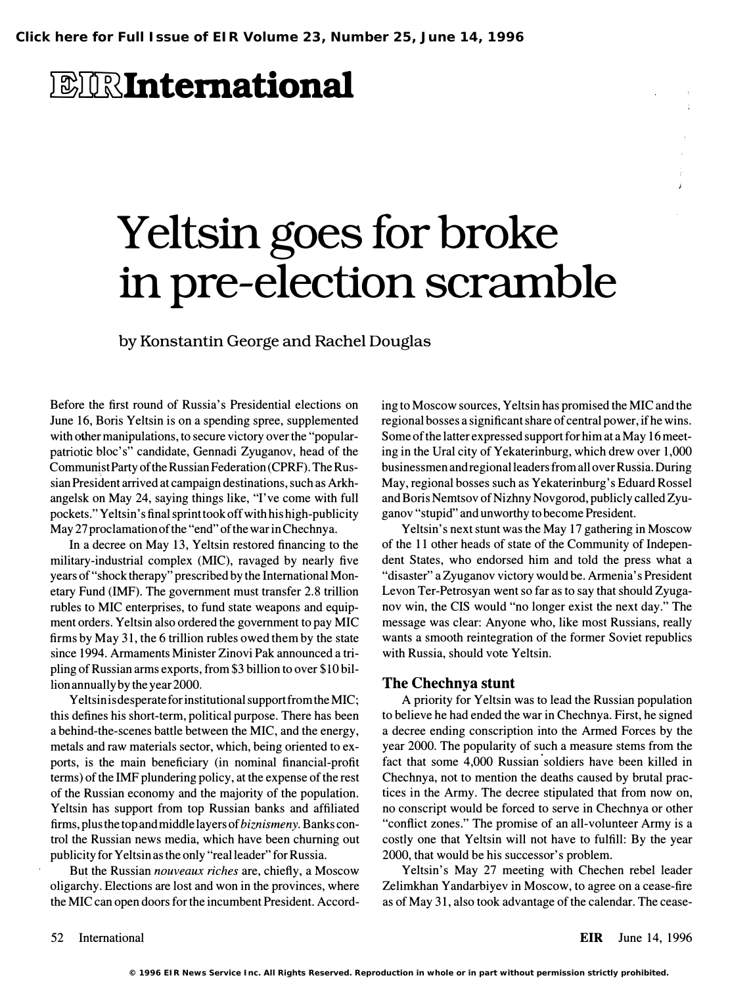## *EIRInternational*

# Yeltsin goes for broke in pre-election scramble

by Konstantin George and Rachel Douglas

Before the first round of Russia's Presidential elections on June 16, Boris Yeltsin is on a spending spree, supplemented with other manipulations, to secure victory over the "popularpatriotic bloc's" candidate, Gennadi Zyuganov, head of the Communist Party of the Russian Federation (CPRF). The Russian President arrived at campaign destinations, such as Arkhangelsk on May 24, saying things like, "I've come with full pockets." Yeltsin's final sprint took off with his high-publicity May 27 proclamation of the "end " of the war in Chechnya.

In a decree on May 13, Yeltsin restored financing to the military-industrial complex (MIC), ravaged by nearly five years of "shock therapy" prescribed by the International Monetary Fund (IMF). The government must transfer 2.8 trillion rubles to MIC enterprises, to fund state weapons and equipment orders. Yeltsin also ordered the government to pay MIC firms by May 31, the 6 trillion rubles owed them by the state since 1994. Armaments Minister Zinovi Pak announced a tripling of Russian arms exports, from \$3 billion to over \$10 billion annually by the year 2000.

Yeltsin is desperate for institutional support from the MIC; this defines his short-term, political purpose. There has been a behind-the-scenes battle between the MIC, and the energy, metals and raw materials sector, which, being oriented to exports, is the main beneficiary (in nominal financial-profit terms) of the IMF plundering policy, at the expense of the rest of the Russian economy and the majority of the population. Yeltsin has support from top Russian banks and affiliated firms, plus the top and middle layers of biznismeny. Banks control the Russian news media, which have been churning out publicity for Yeltsin as the only "real leader" for Russia.

But the Russian *nouveaux riches* are, chiefly, a Moscow oligarchy. Elections are lost and won in the provinces, where the MIC can open doors for the incumbent President. According to Moscow sources, Yeltsin has promised the MIC and the regional bosses a significant share of central power, if he wins. Some of the latter expressed support for him at a May 16 meeting in the Ural city of Yekaterinburg, which drew over 1,000 businessmen and regional leaders from all over Russia. During May, regional bosses such as Yekaterinburg's Eduard Rossel and Boris Nemtsov of Nizhny Novgorod, publicly called Zyuganov "stupid" and unworthy to become President.

Yeltsin's next stunt was the May 17 gathering in Moscow of the 11 other heads of state of the Community of Independent States, who endorsed him and told the press what a "disaster" a Zyuganov victory would be. Armenia's President Levon Ter-Petrosyan went so far as to say that should Zyuganov win, the CIS would "no longer exist the next day. " The message was clear: Anyone who, like most Russians, really wants a smooth reintegration of the former Soviet republics with Russia, should vote Yeltsin.

#### The Chechnya stunt

A priority for Yeltsin was to lead the Russian population to believe he had ended the war in Chechnya. First, he signed a decree ending conscription into the Armed Forces by the year 2000. The popularity of such a measure stems from the fact that some 4,000 Russian soldiers have been killed in Chechnya, not to mention the deaths caused by brutal practices in the Army. The decree stipulated that from now on, no conscript would be forced to serve in Chechnya or other "conflict zones." The promise of an all-volunteer Army is a costly one that Yeltsin will not have to fulfill: By the year 2000, that would be his successor's problem.

Yeltsin's May 27 meeting with Chechen rebel leader Zelimkhan Yandarbiyev in Moscow, to agree on a cease-fire as of May 31, also took advantage of the calendar. The cease